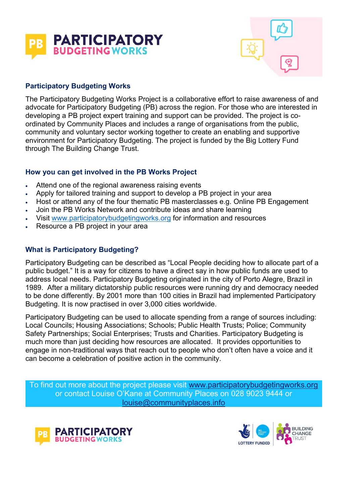



# **Participatory Budgeting Works**

The Participatory Budgeting Works Project is a collaborative effort to raise awareness of and advocate for Participatory Budgeting (PB) across the region. For those who are interested in developing a PB project expert training and support can be provided. The project is coordinated by Community Places and includes a range of organisations from the public, community and voluntary sector working together to create an enabling and supportive environment for Participatory Budgeting. The project is funded by the Big Lottery Fund through The Building Change Trust.

### **How you can get involved in the PB Works Project**

- Attend one of the regional awareness raising events
- Apply for tailored training and support to develop a PB project in your area
- . Host or attend any of the four thematic PB masterclasses e.g. Online PB Engagement
- Join the PB Works Network and contribute ideas and share learning
- Visit www.participatorybudgetingworks.org for information and resources
- Resource a PB project in your area

### **What is Participatory Budgeting?**

Participatory Budgeting can be described as "Local People deciding how to allocate part of a public budget." It is a way for citizens to have a direct say in how public funds are used to address local needs. Participatory Budgeting originated in the city of Porto Alegre, Brazil in 1989. After a military dictatorship public resources were running dry and democracy needed to be done differently. By 2001 more than 100 cities in Brazil had implemented Participatory Budgeting. It is now practised in over 3,000 cities worldwide.

Participatory Budgeting can be used to allocate spending from a range of sources including: Local Councils; Housing Associations; Schools; Public Health Trusts; Police; Community Safety Partnerships; Social Enterprises; Trusts and Charities. Participatory Budgeting is much more than just deciding how resources are allocated. It provides opportunities to engage in non-traditional ways that reach out to people who don't often have a voice and it can become a celebration of positive action in the community.

To find out more about the project please visit www.participatorybudgetingworks.org or contact Louise O'Kane at Community Places on 028 9023 9444 or louise@communityplaces.info